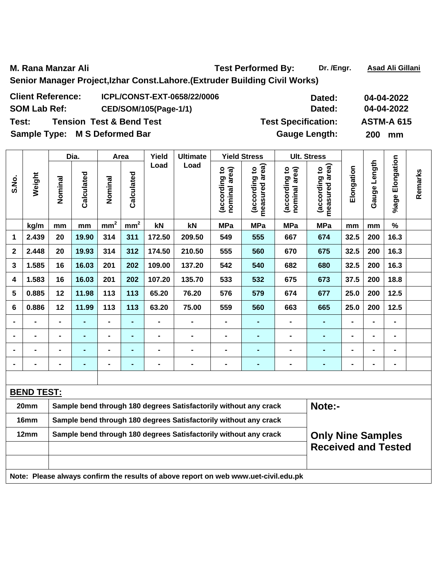M. Rana Manzar Ali **Manzar Ali Ali Ali Ali Ali Ali Ali Ali Ali Gillani** Test Performed By: Dr. /Engr. Asad Ali Gillani **Senior Manager Project,Izhar Const.Lahore.(Extruder Building Civil Works)** 

| <b>Client Reference:</b>      | ICPL/CONST-EXT-0658/22/0006         | Dated:                     | 04-04-2022        |
|-------------------------------|-------------------------------------|----------------------------|-------------------|
| <b>SOM Lab Ref:</b>           | CED/SOM/105(Page-1/1)               | Dated:                     | 04-04-2022        |
| Test:                         | <b>Tension Test &amp; Bend Test</b> | <b>Test Specification:</b> | <b>ASTM-A 615</b> |
| Sample Type: M S Deformed Bar |                                     | <b>Gauge Length:</b>       | <b>200</b><br>mm  |

|                  |                   |                | Dia.           |                 | Area            | Yield  | <b>Ultimate</b>                                                  |                                | <b>Yield Stress</b>             |                                | <b>Ult. Stress</b>                 |                |                              |                      |         |
|------------------|-------------------|----------------|----------------|-----------------|-----------------|--------|------------------------------------------------------------------|--------------------------------|---------------------------------|--------------------------------|------------------------------------|----------------|------------------------------|----------------------|---------|
| S.No.            | Weight            | Nominal        | Calculated     | Nominal         | Calculated      | Load   | Load                                                             | (according to<br>nominal area) | measured area)<br>(according to | nominal area)<br>(according to | area)<br>(according to<br>measured | Elongation     | Length<br>Gauge <sup>1</sup> | Elongation<br>%age l | Remarks |
|                  | kg/m              | mm             | mm             | mm <sup>2</sup> | mm <sup>2</sup> | kN     | kN                                                               | <b>MPa</b>                     | <b>MPa</b>                      | <b>MPa</b>                     | <b>MPa</b>                         | mm             | mm                           | $\%$                 |         |
| 1                | 2.439             | 20             | 19.90          | 314             | 311             | 172.50 | 209.50                                                           | 549                            | 555                             | 667                            | 674                                | 32.5           | 200                          | 16.3                 |         |
| $\boldsymbol{2}$ | 2.448             | 20             | 19.93          | 314             | 312             | 174.50 | 210.50                                                           | 555                            | 560                             | 670                            | 675                                | 32.5           | 200                          | 16.3                 |         |
| 3                | 1.585             | 16             | 16.03          | 201             | 202             | 109.00 | 137.20                                                           | 542                            | 540                             | 682                            | 680                                | 32.5           | 200                          | 16.3                 |         |
| 4                | 1.583             | 16             | 16.03          | 201             | 202             | 107.20 | 135.70                                                           | 533                            | 532                             | 675                            | 673                                | 37.5           | 200                          | 18.8                 |         |
| 5                | 0.885             | 12             | 11.98          | 113             | 113             | 65.20  | 76.20                                                            | 576                            | 579                             | 674                            | 677                                | 25.0           | 200                          | 12.5                 |         |
| 6                | 0.886             | 12             | 11.99          | 113             | 113             | 63.20  | 75.00                                                            | 559                            | 560                             | 663                            | 665                                | 25.0           | 200                          | 12.5                 |         |
|                  | -                 | $\blacksquare$ |                | $\blacksquare$  | $\blacksquare$  |        |                                                                  |                                | $\blacksquare$                  | $\blacksquare$                 | ۰                                  | $\blacksquare$ |                              | $\blacksquare$       |         |
|                  |                   | $\blacksquare$ |                | $\blacksquare$  | ۰               |        |                                                                  |                                | $\blacksquare$                  |                                |                                    | $\blacksquare$ |                              | $\blacksquare$       |         |
|                  | $\blacksquare$    | $\blacksquare$ | $\blacksquare$ | $\blacksquare$  | $\blacksquare$  |        |                                                                  |                                | ۰                               |                                |                                    | $\blacksquare$ |                              | $\blacksquare$       |         |
|                  |                   |                |                | $\blacksquare$  | $\blacksquare$  |        |                                                                  |                                | $\blacksquare$                  |                                | $\blacksquare$                     | $\blacksquare$ |                              | $\blacksquare$       |         |
|                  |                   |                |                |                 |                 |        |                                                                  |                                |                                 |                                |                                    |                |                              |                      |         |
|                  | <b>BEND TEST:</b> |                |                |                 |                 |        |                                                                  |                                |                                 |                                |                                    |                |                              |                      |         |
|                  | 20mm              |                |                |                 |                 |        | Sample bend through 180 degrees Satisfactorily without any crack |                                |                                 |                                | Note:-                             |                |                              |                      |         |
|                  | 16mm              |                |                |                 |                 |        | Sample bend through 180 degrees Satisfactorily without any crack |                                |                                 |                                |                                    |                |                              |                      |         |
|                  | 12mm              |                |                |                 |                 |        | Sample bend through 180 degrees Satisfactorily without any crack |                                |                                 |                                | <b>Only Nine Samples</b>           |                |                              |                      |         |
|                  |                   |                |                |                 |                 |        | <b>Received and Tested</b>                                       |                                |                                 |                                |                                    |                |                              |                      |         |

**Note: Please always confirm the results of above report on web www.uet-civil.edu.pk**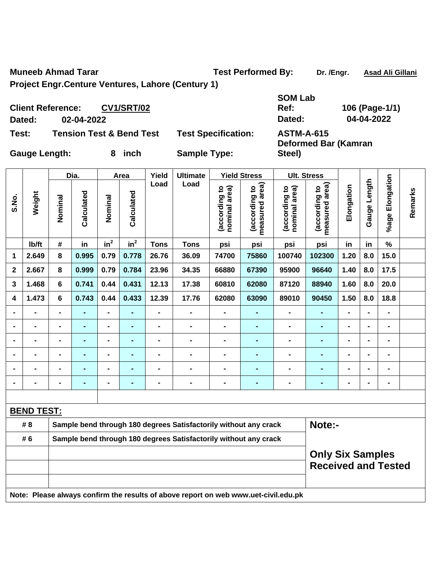**Muneeb Ahmad Tarar Test Performed By:** Dr. /Engr. Asad Ali Gillani

**Steel)** 

**Project Engr.Centure Ventures, Lahore (Century 1)** 

**Client Reference: CV1/SRT/02 SOM Lab Ref: 106 (Page-1/1) Dated: 02-04-2022 Dated: 04-04-2022 Test: Tension Test & Bend Test Test Specification: ASTM-A-615 Deformed Bar (Kamran** 

**Gauge Length: 8 inch Sample Type:** 

|              |                   |                | Dia.       |                              | Area            | Yield                        | <b>Ultimate</b>                                                                     |                                | <b>Yield Stress</b>                |                                | <b>Ult. Stress</b>                                    |                |                |                 |         |
|--------------|-------------------|----------------|------------|------------------------------|-----------------|------------------------------|-------------------------------------------------------------------------------------|--------------------------------|------------------------------------|--------------------------------|-------------------------------------------------------|----------------|----------------|-----------------|---------|
| S.No.        | Weight            | Nominal        | Calculated | Nominal                      | Calculated      | Load                         | Load                                                                                | nominal area)<br>(according to | area)<br>(according to<br>measured | (according to<br>nominal area) | measured area)<br>(according to                       | Elongation     | Gauge Length   | %age Elongation | Remarks |
|              | Ib/ft             | #              | in         | in <sup>2</sup>              | in <sup>2</sup> | <b>Tons</b>                  | <b>Tons</b>                                                                         | psi                            | psi                                | psi                            | psi                                                   | in             | in             | $\frac{9}{6}$   |         |
| 1            | 2.649             | 8              | 0.995      | 0.79                         | 0.778           | 26.76                        | 36.09                                                                               | 74700                          | 75860                              | 100740                         | 102300                                                | 1.20           | 8.0            | 15.0            |         |
| $\mathbf{2}$ | 2.667             | 8              | 0.999      | 0.79                         | 0.784           | 23.96                        | 34.35                                                                               | 66880                          | 67390                              | 95900                          | 96640                                                 | 1.40           | 8.0            | 17.5            |         |
| 3            | 1.468             | 6              | 0.741      | 0.44                         | 0.431           | 12.13                        | 17.38                                                                               | 60810                          | 62080                              | 87120                          | 88940                                                 | 1.60           | 8.0            | 20.0            |         |
| 4            | 1.473             | 6              | 0.743      | 0.44                         | 0.433           | 12.39                        | 17.76                                                                               | 62080                          | 63090                              | 89010                          | 90450                                                 | 1.50           | 8.0            | 18.8            |         |
|              |                   |                |            | $\blacksquare$               |                 | $\blacksquare$               |                                                                                     |                                |                                    |                                |                                                       |                |                |                 |         |
|              | $\blacksquare$    | $\blacksquare$ | ٠          | $\blacksquare$               | $\blacksquare$  | $\blacksquare$               | $\blacksquare$                                                                      | $\blacksquare$                 | $\blacksquare$                     | $\blacksquare$                 | $\blacksquare$                                        | $\blacksquare$ | $\blacksquare$ | $\blacksquare$  |         |
|              | -                 | ۰              | ٠          | $\overline{\phantom{0}}$     | ۰               | $\blacksquare$               | $\blacksquare$                                                                      | $\blacksquare$                 | $\blacksquare$                     | $\blacksquare$                 | ۰                                                     | $\blacksquare$ |                | $\blacksquare$  |         |
|              | $\blacksquare$    | $\blacksquare$ | ٠          | $\qquad \qquad \blacksquare$ |                 | $\qquad \qquad \blacksquare$ | $\blacksquare$                                                                      | $\blacksquare$                 | $\blacksquare$                     | $\blacksquare$                 | $\blacksquare$                                        | $\blacksquare$ |                | $\blacksquare$  |         |
|              | $\blacksquare$    |                |            | $\blacksquare$               |                 | $\blacksquare$               | $\blacksquare$                                                                      | $\blacksquare$                 |                                    | ۰                              | $\blacksquare$                                        | $\blacksquare$ |                | $\blacksquare$  |         |
|              |                   |                |            | -                            |                 |                              |                                                                                     |                                |                                    |                                |                                                       |                |                | $\blacksquare$  |         |
|              |                   |                |            |                              |                 |                              |                                                                                     |                                |                                    |                                |                                                       |                |                |                 |         |
|              | <b>BEND TEST:</b> |                |            |                              |                 |                              |                                                                                     |                                |                                    |                                |                                                       |                |                |                 |         |
|              | # 8               |                |            |                              |                 |                              | Sample bend through 180 degrees Satisfactorily without any crack                    |                                |                                    |                                | Note:-                                                |                |                |                 |         |
|              | # 6               |                |            |                              |                 |                              | Sample bend through 180 degrees Satisfactorily without any crack                    |                                |                                    |                                |                                                       |                |                |                 |         |
|              |                   |                |            |                              |                 |                              |                                                                                     |                                |                                    |                                | <b>Only Six Samples</b><br><b>Received and Tested</b> |                |                |                 |         |
|              |                   |                |            |                              |                 |                              | Note: Please always confirm the results of above report on web www.uet-civil.edu.pk |                                |                                    |                                |                                                       |                |                |                 |         |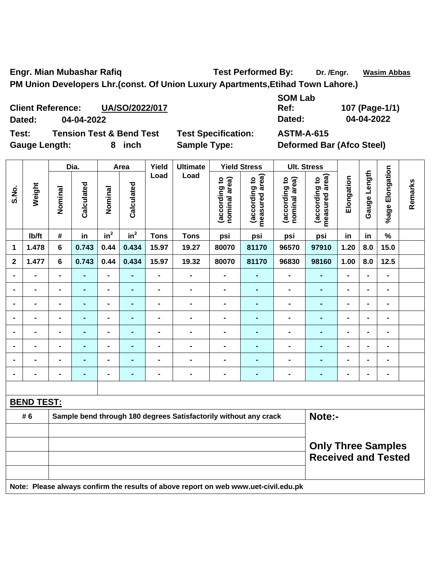Engr. Mian Mubashar Rafiq **Test Performed By:** Dr. /Engr. Wasim Abbas **PM Union Developers Lhr.(const. Of Union Luxury Apartments,Etihad Town Lahore.)** 

**Client Reference: UA/SO/2022/017 Dated: 04-04-2022 Dated: 04-04-2022 Test: Tension Test & Bend Test Test Specification: ASTM-A-615** 

Gauge Length: 8 inch Sample Type: Deformed Bar (Afco Steel)

**SOM Lab Ref: 107 (Page-1/1)** 

|                |                   | Dia.           |                | Area                         |                 | Yield          | <b>Ultimate</b>                                                                     |                                | <b>Yield Stress</b>             | <b>Ult. Stress</b>             |                                 |                |                |                                                         |         |
|----------------|-------------------|----------------|----------------|------------------------------|-----------------|----------------|-------------------------------------------------------------------------------------|--------------------------------|---------------------------------|--------------------------------|---------------------------------|----------------|----------------|---------------------------------------------------------|---------|
| S.No.          | Weight            | Nominal        | Calculated     | Nominal                      | Calculated      | Load           | Load                                                                                | (according to<br>nominal area) | (according to<br>measured area) | (according to<br>nominal area) | measured area)<br>(according to | Elongation     | Gauge Length   | %age Elongation                                         | Remarks |
|                | Ib/ft             | $\#$           | in             | in <sup>2</sup>              | in <sup>2</sup> | <b>Tons</b>    | <b>Tons</b>                                                                         | psi                            | psi                             | psi                            | psi                             | in             | in             | $\%$                                                    |         |
| 1              | 1.478             | 6              | 0.743          | 0.44                         | 0.434           | 15.97          | 19.27                                                                               | 80070                          | 81170                           | 96570                          | 97910                           | 1.20           | 8.0            | 15.0                                                    |         |
| $\mathbf{2}$   | 1.477             | $6\phantom{1}$ | 0.743          | 0.44                         | 0.434           | 15.97          | 19.32                                                                               | 80070                          | 81170                           | 96830                          | 98160                           | 1.00           | 8.0            | 12.5                                                    |         |
| $\blacksquare$ | $\blacksquare$    | $\blacksquare$ | ä,             | $\blacksquare$               | $\blacksquare$  | $\blacksquare$ | $\blacksquare$                                                                      | $\blacksquare$                 | $\blacksquare$                  | $\blacksquare$                 | $\blacksquare$                  | $\overline{a}$ | $\blacksquare$ | $\blacksquare$                                          |         |
|                | $\blacksquare$    | $\blacksquare$ | $\blacksquare$ | $\blacksquare$               | $\blacksquare$  | $\blacksquare$ | $\blacksquare$                                                                      | $\blacksquare$                 | $\blacksquare$                  | $\blacksquare$                 | $\blacksquare$                  | $\blacksquare$ |                | $\blacksquare$                                          |         |
|                |                   |                | $\blacksquare$ | $\blacksquare$               | $\blacksquare$  | $\blacksquare$ | $\blacksquare$                                                                      | $\blacksquare$                 | $\blacksquare$                  | $\blacksquare$                 | $\blacksquare$                  | $\blacksquare$ |                | $\blacksquare$                                          |         |
| $\blacksquare$ | -                 | $\blacksquare$ | $\blacksquare$ | $\blacksquare$               | $\blacksquare$  | $\blacksquare$ | $\blacksquare$                                                                      | $\blacksquare$                 | -                               | $\blacksquare$                 | ۰                               | $\blacksquare$ | $\blacksquare$ | $\blacksquare$                                          |         |
| $\blacksquare$ | $\blacksquare$    | $\blacksquare$ | $\blacksquare$ | $\blacksquare$               | $\blacksquare$  | $\blacksquare$ | $\blacksquare$                                                                      | $\blacksquare$                 | -                               | $\blacksquare$                 | ۰                               | $\blacksquare$ | $\blacksquare$ | $\blacksquare$                                          |         |
| $\blacksquare$ | $\blacksquare$    | $\blacksquare$ | ٠              | $\qquad \qquad \blacksquare$ | $\blacksquare$  | $\blacksquare$ | $\blacksquare$                                                                      | $\blacksquare$                 | $\blacksquare$                  | $\blacksquare$                 | $\blacksquare$                  | $\blacksquare$ | $\blacksquare$ | $\blacksquare$                                          |         |
| $\blacksquare$ | $\blacksquare$    | $\blacksquare$ | ٠              | $\qquad \qquad \blacksquare$ | $\blacksquare$  | $\blacksquare$ | $\blacksquare$                                                                      | $\blacksquare$                 | $\blacksquare$                  | $\blacksquare$                 | $\blacksquare$                  | $\blacksquare$ |                | $\blacksquare$                                          |         |
| $\blacksquare$ | $\blacksquare$    | $\blacksquare$ | $\blacksquare$ | $\blacksquare$               | $\blacksquare$  | $\blacksquare$ | $\blacksquare$                                                                      | $\blacksquare$                 | -                               | $\blacksquare$                 | ä,                              | $\blacksquare$ |                | $\blacksquare$                                          |         |
|                |                   |                |                |                              |                 |                |                                                                                     |                                |                                 |                                |                                 |                |                |                                                         |         |
|                | <b>BEND TEST:</b> |                |                |                              |                 |                |                                                                                     |                                |                                 |                                |                                 |                |                |                                                         |         |
|                | # 6               |                |                |                              |                 |                | Sample bend through 180 degrees Satisfactorily without any crack                    |                                |                                 |                                | Note:-                          |                |                |                                                         |         |
|                |                   |                |                |                              |                 |                |                                                                                     |                                |                                 |                                |                                 |                |                |                                                         |         |
|                |                   |                |                |                              |                 |                |                                                                                     |                                |                                 |                                |                                 |                |                | <b>Only Three Samples</b><br><b>Received and Tested</b> |         |
|                |                   |                |                |                              |                 |                | Note: Please always confirm the results of above report on web www.uet-civil.edu.pk |                                |                                 |                                |                                 |                |                |                                                         |         |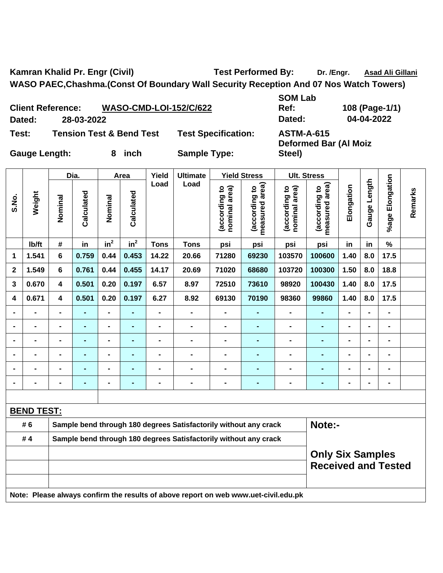Kamran Khalid Pr. Engr (Civil) **Test Performed By:** Dr. /Engr. Asad Ali Gillani **WASO PAEC,Chashma.(Const Of Boundary Wall Security Reception And 07 Nos Watch Towers)** 

**Client Reference: WASO-CMD-LOI-152/C/622 Dated: 28-03-2022 Dated: 04-04-2022 Test: Tension Test & Bend Test Test Specification: ASTM-A-615 Deformed Bar (Al Moiz Steel)** 

|                |                   |                         | Dia.           |                | Area           | Yield          | <b>Ultimate</b>                                                                     |                                | <b>Yield Stress</b>             |                                | <b>Ult. Stress</b>                                    |                |              |                 |         |
|----------------|-------------------|-------------------------|----------------|----------------|----------------|----------------|-------------------------------------------------------------------------------------|--------------------------------|---------------------------------|--------------------------------|-------------------------------------------------------|----------------|--------------|-----------------|---------|
| S.No.          | Weight            | Nominal                 | Calculated     | Nominal        | Calculated     | Load           | Load                                                                                | (according to<br>nominal area) | measured area)<br>(according to | nominal area)<br>(according to | measured area)<br>(according to                       | Elongation     | Gauge Length | %age Elongation | Remarks |
|                | lb/ft             | #                       | in             | $in^2$         | $in^2$         | <b>Tons</b>    | <b>Tons</b>                                                                         | psi                            | psi                             | psi                            | psi                                                   | in             | in           | $\frac{1}{2}$   |         |
| 1              | 1.541             | $6\phantom{a}$          | 0.759          | 0.44           | 0.453          | 14.22          | 20.66                                                                               | 71280                          | 69230                           | 103570                         | 100600                                                | 1.40           | 8.0          | 17.5            |         |
| $\mathbf 2$    | 1.549             | $6\phantom{a}$          | 0.761          | 0.44           | 0.455          | 14.17          | 20.69                                                                               | 71020                          | 68680                           | 103720                         | 100300                                                | 1.50           | 8.0          | 18.8            |         |
| 3              | 0.670             | $\overline{\mathbf{4}}$ | 0.501          | 0.20           | 0.197          | 6.57           | 8.97                                                                                | 72510                          | 73610                           | 98920                          | 100430                                                | 1.40           | 8.0          | 17.5            |         |
| 4              | 0.671             | $\overline{\mathbf{4}}$ | 0.501          | 0.20           | 0.197          | 6.27           | 8.92                                                                                | 69130                          | 70190                           | 98360                          | 99860                                                 | 1.40           | 8.0          | 17.5            |         |
| $\blacksquare$ |                   | $\blacksquare$          | $\blacksquare$ | $\blacksquare$ |                | $\blacksquare$ | $\blacksquare$                                                                      | $\blacksquare$                 | $\blacksquare$                  | $\blacksquare$                 | ۰                                                     | $\blacksquare$ |              | $\blacksquare$  |         |
| $\blacksquare$ | $\blacksquare$    | $\blacksquare$          | $\blacksquare$ | $\blacksquare$ | ٠              | $\blacksquare$ | $\blacksquare$                                                                      | $\blacksquare$                 | $\blacksquare$                  | $\blacksquare$                 | ۰                                                     | $\blacksquare$ |              | $\blacksquare$  |         |
|                |                   | $\blacksquare$          | ۰              | $\blacksquare$ | $\blacksquare$ | $\blacksquare$ | $\blacksquare$                                                                      | $\blacksquare$                 | $\blacksquare$                  | $\blacksquare$                 | ۰                                                     | $\blacksquare$ |              | $\blacksquare$  |         |
| $\blacksquare$ | $\overline{a}$    | $\blacksquare$          | $\blacksquare$ | $\blacksquare$ | ٠              | $\blacksquare$ | $\blacksquare$                                                                      | $\blacksquare$                 | $\blacksquare$                  | $\blacksquare$                 | $\blacksquare$                                        | $\blacksquare$ |              | $\blacksquare$  |         |
|                |                   | $\blacksquare$          | $\blacksquare$ | $\blacksquare$ | ٠              | $\blacksquare$ | $\blacksquare$                                                                      | $\blacksquare$                 | $\blacksquare$                  | $\blacksquare$                 | $\blacksquare$                                        | $\blacksquare$ |              | $\blacksquare$  |         |
|                |                   | $\blacksquare$          | $\blacksquare$ |                | ٠              | $\blacksquare$ | $\blacksquare$                                                                      | $\blacksquare$                 | $\blacksquare$                  | $\blacksquare$                 | $\blacksquare$                                        | $\blacksquare$ |              | $\blacksquare$  |         |
|                |                   |                         |                |                |                |                |                                                                                     |                                |                                 |                                |                                                       |                |              |                 |         |
|                | <b>BEND TEST:</b> |                         |                |                |                |                |                                                                                     |                                |                                 |                                |                                                       |                |              |                 |         |
|                | # 6               |                         |                |                |                |                | Sample bend through 180 degrees Satisfactorily without any crack                    |                                |                                 |                                | Note:-                                                |                |              |                 |         |
|                | #4                |                         |                |                |                |                | Sample bend through 180 degrees Satisfactorily without any crack                    |                                |                                 |                                |                                                       |                |              |                 |         |
|                |                   |                         |                |                |                |                |                                                                                     |                                |                                 |                                | <b>Only Six Samples</b><br><b>Received and Tested</b> |                |              |                 |         |
|                |                   |                         |                |                |                |                |                                                                                     |                                |                                 |                                |                                                       |                |              |                 |         |
|                |                   |                         |                |                |                |                | Note: Please always confirm the results of above report on web www.uet-civil.edu.pk |                                |                                 |                                |                                                       |                |              |                 |         |

**SOM Lab Ref: 108 (Page-1/1)** 

Gauge Length: 8 inch Sample Type: